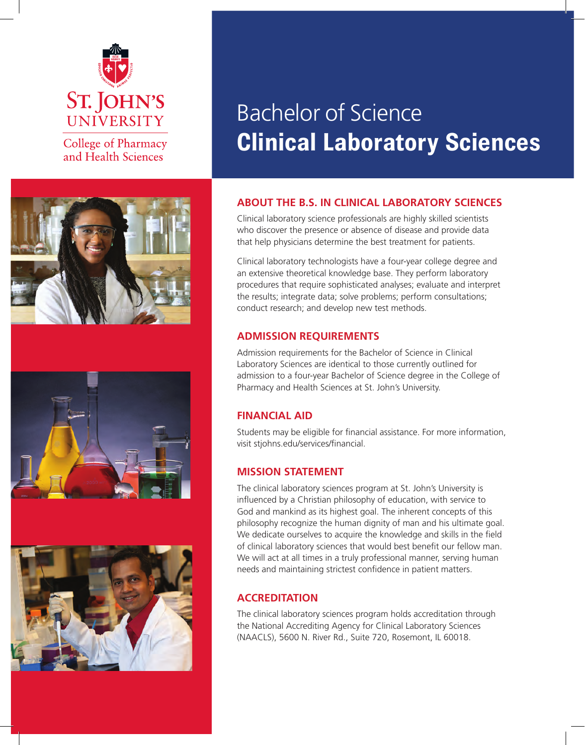

College of Pharmacy and Health Sciences







# Bachelor of Science **Clinical Laboratory Sciences**

# **About the B.S. in Clinical Laboratory Sciences**

Clinical laboratory science professionals are highly skilled scientists who discover the presence or absence of disease and provide data that help physicians determine the best treatment for patients.

Clinical laboratory technologists have a four-year college degree and an extensive theoretical knowledge base. They perform laboratory procedures that require sophisticated analyses; evaluate and interpret the results; integrate data; solve problems; perform consultations; conduct research; and develop new test methods.

#### **Admission Requirements**

Admission requirements for the Bachelor of Science in Clinical Laboratory Sciences are identical to those currently outlined for admission to a four-year Bachelor of Science degree in the College of Pharmacy and Health Sciences at St. John's University.

### **Financial Aid**

Students may be eligible for financial assistance. For more information, visit stjohns.edu/services/financial.

#### **Mission Statement**

The clinical laboratory sciences program at St. John's University is influenced by a Christian philosophy of education, with service to God and mankind as its highest goal. The inherent concepts of this philosophy recognize the human dignity of man and his ultimate goal. We dedicate ourselves to acquire the knowledge and skills in the field of clinical laboratory sciences that would best benefit our fellow man. We will act at all times in a truly professional manner, serving human needs and maintaining strictest confidence in patient matters.

### **Accreditation**

The clinical laboratory sciences program holds accreditation through the National Accrediting Agency for Clinical Laboratory Sciences (NAACLS), 5600 N. River Rd., Suite 720, Rosemont, IL 60018.